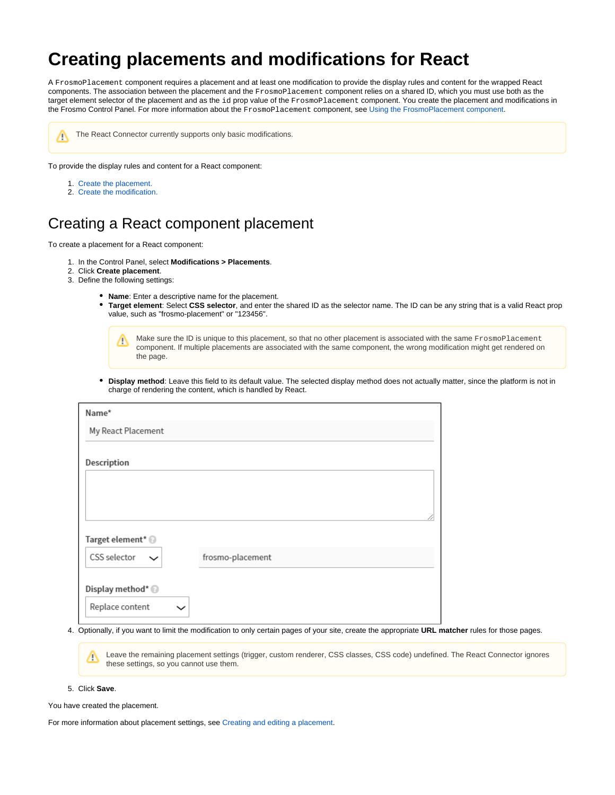## **Creating placements and modifications for React**

A FrosmoPlacement component requires a placement and at least one modification to provide the display rules and content for the wrapped React components. The association between the placement and the FrosmoPlacement component relies on a shared ID, which you must use both as the target element selector of the placement and as the id prop value of the FrosmoPlacement component. You create the placement and modifications in the Frosmo Control Panel. For more information about the FrosmoPlacement component, see [Using the FrosmoPlacement component.](https://docs.frosmo.com/display/dev/Using+the+FrosmoPlacement+component)



The React Connector currently supports only basic modifications.

To provide the display rules and content for a React component:

- 1. [Create the placement.](#page-0-0)
- 2. [Create the modification.](#page-0-1)

## <span id="page-0-0"></span>Creating a React component placement

To create a placement for a React component:

- 1. In the Control Panel, select **Modifications > Placements**.
- 2. Click **Create placement**.
- 3. Define the following settings:
	- **Name**: Enter a descriptive name for the placement.
	- **Target element**: Select **CSS selector**, and enter the shared ID as the selector name. The ID can be any string that is a valid React prop value, such as "frosmo-placement" or "123456".

Make sure the ID is unique to this placement, so that no other placement is associated with the same FrosmoPlacement Λ component. If multiple placements are associated with the same component, the wrong modification might get rendered on the page.

**Display method**: Leave this field to its default value. The selected display method does not actually matter, since the platform is not in charge of rendering the content, which is handled by React.

| Name*                        |                  |   |
|------------------------------|------------------|---|
| My React Placement           |                  |   |
|                              |                  |   |
| Description                  |                  |   |
|                              |                  |   |
|                              |                  |   |
|                              |                  |   |
|                              |                  | 4 |
| Target element* <sup>@</sup> |                  |   |
|                              |                  |   |
| CSS selector                 | frosmo-placement |   |
|                              |                  |   |
| Display method* <sup>@</sup> |                  |   |
| Replace content              |                  |   |
|                              |                  |   |

4. Optionally, if you want to limit the modification to only certain pages of your site, create the appropriate **URL matcher** rules for those pages.

Leave the remaining placement settings (trigger, custom renderer, CSS classes, CSS code) undefined. The React Connector ignores т these settings, so you cannot use them.

5. Click **Save**.

You have created the placement.

<span id="page-0-1"></span>For more information about placement settings, see [Creating and editing a placement.](https://docs.frosmo.com/display/ui/Creating+and+editing+a+placement)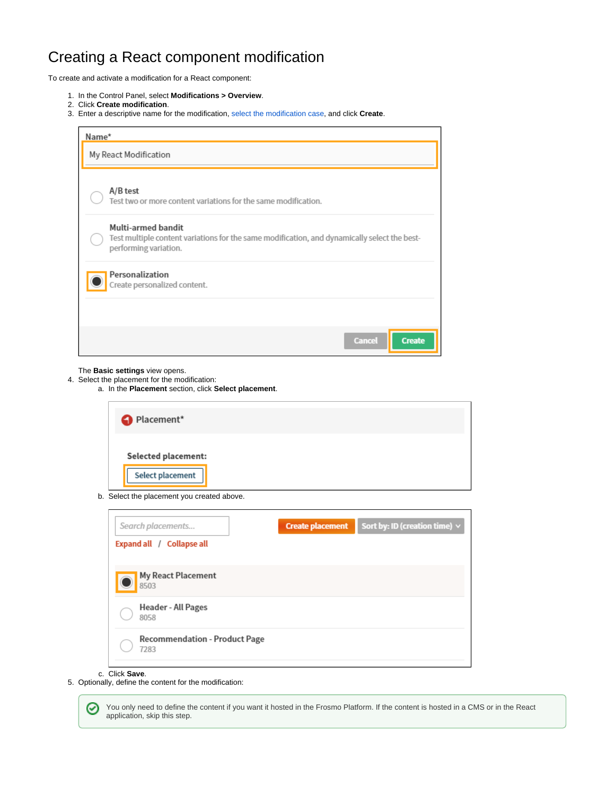## Creating a React component modification

To create and activate a modification for a React component:

- 1. In the Control Panel, select **Modifications > Overview**.
- 2. Click **Create modification**.
- 3. Enter a descriptive name for the modification, [select the modification case,](https://docs.frosmo.com/display/ui/Creating+and+editing+a+modification#Creatingandeditingamodification-Selectingthemodificationcase) and click **Create**.

| Name*                                                                                                                                       |  |
|---------------------------------------------------------------------------------------------------------------------------------------------|--|
| My React Modification                                                                                                                       |  |
| A/B test<br>Test two or more content variations for the same modification.                                                                  |  |
| Multi-armed bandit<br>Test multiple content variations for the same modification, and dynamically select the best-<br>performing variation. |  |
| Personalization<br>Create personalized content.                                                                                             |  |
|                                                                                                                                             |  |
| <b>Cancel</b><br><b>Create</b>                                                                                                              |  |

The **Basic settings** view opens.

4. Select the placement for the modification: a. In the **Placement** section, click **Select placement**.

| Placement*                                     |  |  |
|------------------------------------------------|--|--|
| <b>Selected placement:</b><br>Select placement |  |  |

b. Select the placement you created above.

| Search placements                            | <b>Create placement</b> | Sort by: ID (creation time) $\vee$ |
|----------------------------------------------|-------------------------|------------------------------------|
| Expand all / Collapse all                    |                         |                                    |
| My React Placement<br>8503                   |                         |                                    |
| Header - All Pages<br>8058                   |                         |                                    |
| <b>Recommendation - Product Page</b><br>7283 |                         |                                    |

## c. Click **Save**.

5. Optionally, define the content for the modification:

You only need to define the content if you want it hosted in the Frosmo Platform. If the content is hosted in a CMS or in the React ⊗ application, skip this step.